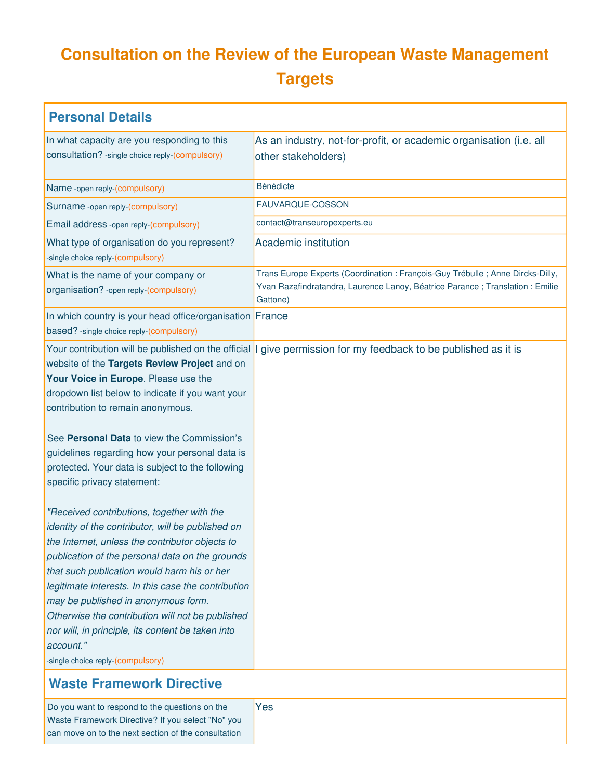# **Consultation on the Review of the European Waste Management Targets**

| <b>Personal Details</b>                                                                                                                                                                                                                                                                                                                                                                                                                                                                                                                                                                                                                                                                                                                                                                                                                                                           |                                                                                                                                                                               |
|-----------------------------------------------------------------------------------------------------------------------------------------------------------------------------------------------------------------------------------------------------------------------------------------------------------------------------------------------------------------------------------------------------------------------------------------------------------------------------------------------------------------------------------------------------------------------------------------------------------------------------------------------------------------------------------------------------------------------------------------------------------------------------------------------------------------------------------------------------------------------------------|-------------------------------------------------------------------------------------------------------------------------------------------------------------------------------|
| In what capacity are you responding to this                                                                                                                                                                                                                                                                                                                                                                                                                                                                                                                                                                                                                                                                                                                                                                                                                                       | As an industry, not-for-profit, or academic organisation (i.e. all                                                                                                            |
| consultation? - single choice reply-(compulsory)                                                                                                                                                                                                                                                                                                                                                                                                                                                                                                                                                                                                                                                                                                                                                                                                                                  | other stakeholders)                                                                                                                                                           |
| Name -open reply-(compulsory)                                                                                                                                                                                                                                                                                                                                                                                                                                                                                                                                                                                                                                                                                                                                                                                                                                                     | Bénédicte                                                                                                                                                                     |
| Surname -open reply-(compulsory)                                                                                                                                                                                                                                                                                                                                                                                                                                                                                                                                                                                                                                                                                                                                                                                                                                                  | FAUVARQUE-COSSON                                                                                                                                                              |
| Email address -open reply-(compulsory)                                                                                                                                                                                                                                                                                                                                                                                                                                                                                                                                                                                                                                                                                                                                                                                                                                            | contact@transeuropexperts.eu                                                                                                                                                  |
| What type of organisation do you represent?<br>-single choice reply-(compulsory)                                                                                                                                                                                                                                                                                                                                                                                                                                                                                                                                                                                                                                                                                                                                                                                                  | <b>Academic institution</b>                                                                                                                                                   |
| What is the name of your company or<br>organisation? - open reply-(compulsory)                                                                                                                                                                                                                                                                                                                                                                                                                                                                                                                                                                                                                                                                                                                                                                                                    | Trans Europe Experts (Coordination : François-Guy Trébulle ; Anne Dircks-Dilly,<br>Yvan Razafindratandra, Laurence Lanoy, Béatrice Parance ; Translation : Emilie<br>Gattone) |
| In which country is your head office/organisation France<br>based? -single choice reply-(compulsory)                                                                                                                                                                                                                                                                                                                                                                                                                                                                                                                                                                                                                                                                                                                                                                              |                                                                                                                                                                               |
| website of the Targets Review Project and on<br>Your Voice in Europe. Please use the<br>dropdown list below to indicate if you want your<br>contribution to remain anonymous.<br>See Personal Data to view the Commission's<br>guidelines regarding how your personal data is<br>protected. Your data is subject to the following<br>specific privacy statement:<br>"Received contributions, together with the<br>identity of the contributor, will be published on<br>the Internet, unless the contributor objects to<br>publication of the personal data on the grounds<br>that such publication would harm his or her<br>legitimate interests. In this case the contribution<br>may be published in anonymous form.<br>Otherwise the contribution will not be published<br>nor will, in principle, its content be taken into<br>account."<br>-single choice reply-(compulsory) | Your contribution will be published on the official I give permission for my feedback to be published as it is                                                                |
| <b>Waste Framework Directive</b>                                                                                                                                                                                                                                                                                                                                                                                                                                                                                                                                                                                                                                                                                                                                                                                                                                                  |                                                                                                                                                                               |
| Do you want to respond to the questions on the                                                                                                                                                                                                                                                                                                                                                                                                                                                                                                                                                                                                                                                                                                                                                                                                                                    | Yes                                                                                                                                                                           |

| Do you want to respond to the questions on the      |  |
|-----------------------------------------------------|--|
| Waste Framework Directive? If you select "No" you   |  |
| can move on to the next section of the consultation |  |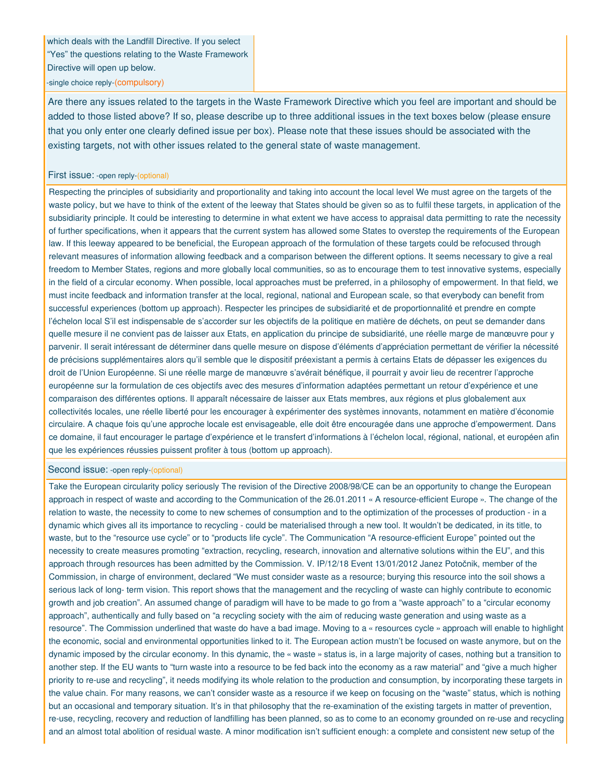which deals with the Landfill Directive. If you select "Yes" the questions relating to the Waste Framework Directive will open up below.

-single choice reply-(compulsory)

Are there any issues related to the targets in the Waste Framework Directive which you feel are important and should be added to those listed above? If so, please describe up to three additional issues in the text boxes below (please ensure that you only enter one clearly defined issue per box). Please note that these issues should be associated with the existing targets, not with other issues related to the general state of waste management.

### First issue: -open reply-(optional)

Respecting the principles of subsidiarity and proportionality and taking into account the local level We must agree on the targets of the waste policy, but we have to think of the extent of the leeway that States should be given so as to fulfil these targets, in application of the subsidiarity principle. It could be interesting to determine in what extent we have access to appraisal data permitting to rate the necessity of further specifications, when it appears that the current system has allowed some States to overstep the requirements of the European law. If this leeway appeared to be beneficial, the European approach of the formulation of these targets could be refocused through relevant measures of information allowing feedback and a comparison between the different options. It seems necessary to give a real freedom to Member States, regions and more globally local communities, so as to encourage them to test innovative systems, especially in the field of a circular economy. When possible, local approaches must be preferred, in a philosophy of empowerment. In that field, we must incite feedback and information transfer at the local, regional, national and European scale, so that everybody can benefit from successful experiences (bottom up approach). Respecter les principes de subsidiarité et de proportionnalité et prendre en compte l'échelon local S'il est indispensable de s'accorder sur les objectifs de la politique en matière de déchets, on peut se demander dans quelle mesure il ne convient pas de laisser aux Etats, en application du principe de subsidiarité, une réelle marge de manœuvre pour y parvenir. Il serait intéressant de déterminer dans quelle mesure on dispose d'éléments d'appréciation permettant de vérifier la nécessité de précisions supplémentaires alors qu'il semble que le dispositif préexistant a permis à certains Etats de dépasser les exigences du droit de l'Union Européenne. Si une réelle marge de manœuvre s'avérait bénéfique, il pourrait y avoir lieu de recentrer l'approche européenne sur la formulation de ces objectifs avec des mesures d'information adaptées permettant un retour d'expérience et une comparaison des différentes options. Il apparaît nécessaire de laisser aux Etats membres, aux régions et plus globalement aux collectivités locales, une réelle liberté pour les encourager à expérimenter des systèmes innovants, notamment en matière d'économie circulaire. A chaque fois qu'une approche locale est envisageable, elle doit être encouragée dans une approche d'empowerment. Dans ce domaine, il faut encourager le partage d'expérience et le transfert d'informations à l'échelon local, régional, national, et européen afin que les expériences réussies puissent profiter à tous (bottom up approach).

### Second issue: -open reply-(optional)

Take the European circularity policy seriously The revision of the Directive 2008/98/CE can be an opportunity to change the European approach in respect of waste and according to the Communication of the 26.01.2011 « A resource-efficient Europe ». The change of the relation to waste, the necessity to come to new schemes of consumption and to the optimization of the processes of production - in a dynamic which gives all its importance to recycling - could be materialised through a new tool. It wouldn't be dedicated, in its title, to waste, but to the "resource use cycle" or to "products life cycle". The Communication "A resource-efficient Europe" pointed out the necessity to create measures promoting "extraction, recycling, research, innovation and alternative solutions within the EU", and this approach through resources has been admitted by the Commission. V. IP/12/18 Event 13/01/2012 Janez Potočnik, member of the Commission, in charge of environment, declared "We must consider waste as a resource; burying this resource into the soil shows a serious lack of long- term vision. This report shows that the management and the recycling of waste can highly contribute to economic growth and job creation". An assumed change of paradigm will have to be made to go from a "waste approach" to a "circular economy approach", authentically and fully based on "a recycling society with the aim of reducing waste generation and using waste as a resource". The Commission underlined that waste do have a bad image. Moving to a « resources cycle » approach will enable to highlight the economic, social and environmental opportunities linked to it. The European action mustn't be focused on waste anymore, but on the dynamic imposed by the circular economy. In this dynamic, the « waste » status is, in a large majority of cases, nothing but a transition to another step. If the EU wants to "turn waste into a resource to be fed back into the economy as a raw material" and "give a much higher priority to re-use and recycling", it needs modifying its whole relation to the production and consumption, by incorporating these targets in the value chain. For many reasons, we can't consider waste as a resource if we keep on focusing on the "waste" status, which is nothing but an occasional and temporary situation. It's in that philosophy that the re-examination of the existing targets in matter of prevention, re-use, recycling, recovery and reduction of landfilling has been planned, so as to come to an economy grounded on re-use and recycling and an almost total abolition of residual waste. A minor modification isn't sufficient enough: a complete and consistent new setup of the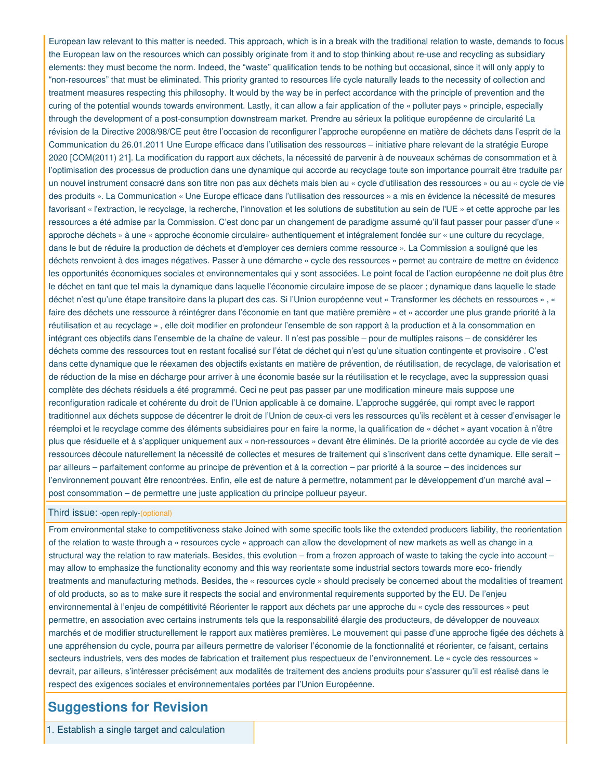European law relevant to this matter is needed. This approach, which is in a break with the traditional relation to waste, demands to focus the European law on the resources which can possibly originate from it and to stop thinking about re-use and recycling as subsidiary elements: they must become the norm. Indeed, the "waste" qualification tends to be nothing but occasional, since it will only apply to "non-resources" that must be eliminated. This priority granted to resources life cycle naturally leads to the necessity of collection and treatment measures respecting this philosophy. It would by the way be in perfect accordance with the principle of prevention and the curing of the potential wounds towards environment. Lastly, it can allow a fair application of the « polluter pays » principle, especially through the development of a post-consumption downstream market. Prendre au sérieux la politique européenne de circularité La révision de la Directive 2008/98/CE peut être l'occasion de reconfigurer l'approche européenne en matière de déchets dans l'esprit de la Communication du 26.01.2011 Une Europe efficace dans l'utilisation des ressources – initiative phare relevant de la stratégie Europe 2020 [COM(2011) 21]. La modification du rapport aux déchets, la nécessité de parvenir à de nouveaux schémas de consommation et à l'optimisation des processus de production dans une dynamique qui accorde au recyclage toute son importance pourrait être traduite par un nouvel instrument consacré dans son titre non pas aux déchets mais bien au « cycle d'utilisation des ressources » ou au « cycle de vie des produits ». La Communication « Une Europe efficace dans l'utilisation des ressources » a mis en évidence la nécessité de mesures favorisant « l'extraction, le recyclage, la recherche, l'innovation et les solutions de substitution au sein de l'UE » et cette approche par les ressources a été admise par la Commission. C'est donc par un changement de paradigme assumé qu'il faut passer pour passer d'une « approche déchets » à une « approche économie circulaire» authentiquement et intégralement fondée sur « une culture du recyclage, dans le but de réduire la production de déchets et d'employer ces derniers comme ressource ». La Commission a souligné que les déchets renvoient à des images négatives. Passer à une démarche « cycle des ressources » permet au contraire de mettre en évidence les opportunités économiques sociales et environnementales qui y sont associées. Le point focal de l'action européenne ne doit plus être le déchet en tant que tel mais la dynamique dans laquelle l'économie circulaire impose de se placer ; dynamique dans laquelle le stade déchet n'est qu'une étape transitoire dans la plupart des cas. Si l'Union européenne veut « Transformer les déchets en ressources » , « faire des déchets une ressource à réintégrer dans l'économie en tant que matière première » et « accorder une plus grande priorité à la réutilisation et au recyclage » , elle doit modifier en profondeur l'ensemble de son rapport à la production et à la consommation en intégrant ces objectifs dans l'ensemble de la chaîne de valeur. Il n'est pas possible – pour de multiples raisons – de considérer les déchets comme des ressources tout en restant focalisé sur l'état de déchet qui n'est qu'une situation contingente et provisoire . C'est dans cette dynamique que le réexamen des objectifs existants en matière de prévention, de réutilisation, de recyclage, de valorisation et de réduction de la mise en décharge pour arriver à une économie basée sur la réutilisation et le recyclage, avec la suppression quasi complète des déchets résiduels a été programmé. Ceci ne peut pas passer par une modification mineure mais suppose une reconfiguration radicale et cohérente du droit de l'Union applicable à ce domaine. L'approche suggérée, qui rompt avec le rapport traditionnel aux déchets suppose de décentrer le droit de l'Union de ceux-ci vers les ressources qu'ils recèlent et à cesser d'envisager le réemploi et le recyclage comme des éléments subsidiaires pour en faire la norme, la qualification de « déchet » ayant vocation à n'être plus que résiduelle et à s'appliquer uniquement aux « non-ressources » devant être éliminés. De la priorité accordée au cycle de vie des ressources découle naturellement la nécessité de collectes et mesures de traitement qui s'inscrivent dans cette dynamique. Elle serait – par ailleurs – parfaitement conforme au principe de prévention et à la correction – par priorité à la source – des incidences sur l'environnement pouvant être rencontrées. Enfin, elle est de nature à permettre, notamment par le développement d'un marché aval – post consommation – de permettre une juste application du principe pollueur payeur.

### Third issue: -open reply-(optional)

From environmental stake to competitiveness stake Joined with some specific tools like the extended producers liability, the reorientation of the relation to waste through a « resources cycle » approach can allow the development of new markets as well as change in a structural way the relation to raw materials. Besides, this evolution – from a frozen approach of waste to taking the cycle into account – may allow to emphasize the functionality economy and this way reorientate some industrial sectors towards more eco- friendly treatments and manufacturing methods. Besides, the « resources cycle » should precisely be concerned about the modalities of treament of old products, so as to make sure it respects the social and environmental requirements supported by the EU. De l'enjeu environnemental à l'enjeu de compétitivité Réorienter le rapport aux déchets par une approche du « cycle des ressources » peut permettre, en association avec certains instruments tels que la responsabilité élargie des producteurs, de développer de nouveaux marchés et de modifier structurellement le rapport aux matières premières. Le mouvement qui passe d'une approche figée des déchets à une appréhension du cycle, pourra par ailleurs permettre de valoriser l'économie de la fonctionnalité et réorienter, ce faisant, certains secteurs industriels, vers des modes de fabrication et traitement plus respectueux de l'environnement. Le « cycle des ressources » devrait, par ailleurs, s'intéresser précisément aux modalités de traitement des anciens produits pour s'assurer qu'il est réalisé dans le respect des exigences sociales et environnementales portées par l'Union Européenne.

### **Suggestions for Revision**

1. Establish a single target and calculation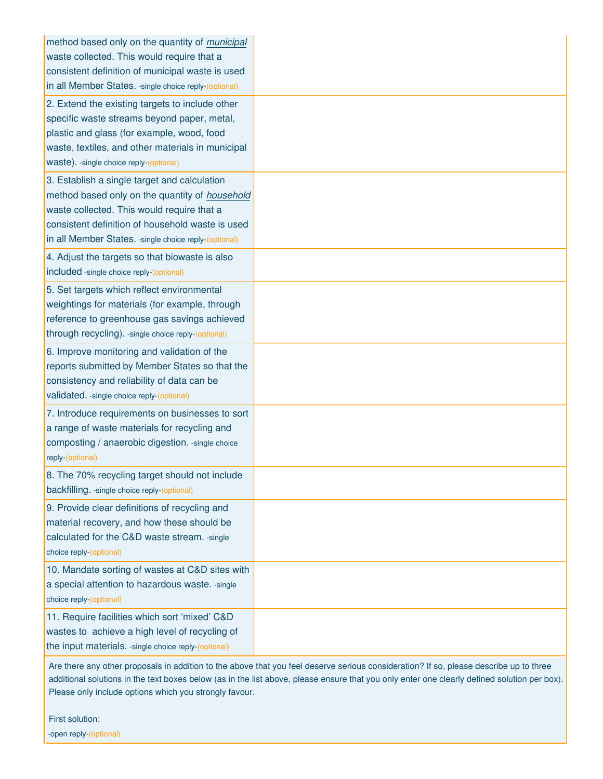| method based only on the quantity of municipal<br>waste collected. This would require that a<br>consistent definition of municipal waste is used<br>in all Member States. - single choice reply-(optional)                                                 |  |
|------------------------------------------------------------------------------------------------------------------------------------------------------------------------------------------------------------------------------------------------------------|--|
| 2. Extend the existing targets to include other<br>specific waste streams beyond paper, metal,<br>plastic and glass (for example, wood, food<br>waste, textiles, and other materials in municipal<br>waste). - single choice reply-(optional)              |  |
| 3. Establish a single target and calculation<br>method based only on the quantity of household<br>waste collected. This would require that a<br>consistent definition of household waste is used<br>in all Member States. - single choice reply-(optional) |  |
| 4. Adjust the targets so that biowaste is also<br>included -single choice reply-(optional)                                                                                                                                                                 |  |
| 5. Set targets which reflect environmental<br>weightings for materials (for example, through<br>reference to greenhouse gas savings achieved<br>through recycling). - single choice reply-(optional)                                                       |  |
| 6. Improve monitoring and validation of the<br>reports submitted by Member States so that the<br>consistency and reliability of data can be<br>validated. - single choice reply-(optional)                                                                 |  |
| 7. Introduce requirements on businesses to sort<br>a range of waste materials for recycling and<br>composting / anaerobic digestion. - single choice<br>reply-(optional)                                                                                   |  |
| 8. The 70% recycling target should not include<br>backfilling. - single choice reply-(optional)                                                                                                                                                            |  |
| 9. Provide clear definitions of recycling and<br>material recovery, and how these should be<br>calculated for the C&D waste stream. -single<br>choice reply-(optional)                                                                                     |  |
| 10. Mandate sorting of wastes at C&D sites with<br>a special attention to hazardous waste. - single<br>choice reply-(optional)                                                                                                                             |  |
| 11. Require facilities which sort 'mixed' C&D<br>wastes to achieve a high level of recycling of<br>the input materials. - single choice reply-(optional)                                                                                                   |  |

First solution:

-open reply-(optional)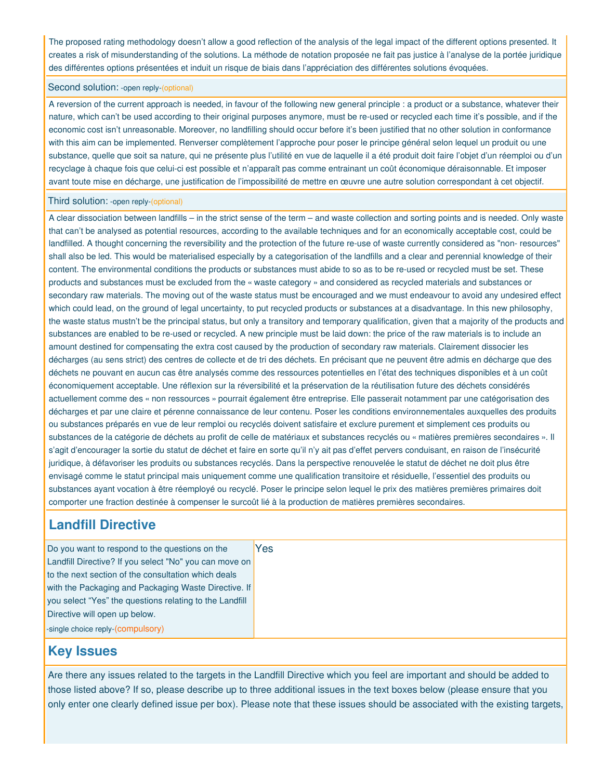The proposed rating methodology doesn't allow a good reflection of the analysis of the legal impact of the different options presented. It creates a risk of misunderstanding of the solutions. La méthode de notation proposée ne fait pas justice à l'analyse de la portée juridique des différentes options présentées et induit un risque de biais dans l'appréciation des différentes solutions évoquées.

### Second solution: -open reply-(optional)

A reversion of the current approach is needed, in favour of the following new general principle : a product or a substance, whatever their nature, which can't be used according to their original purposes anymore, must be re-used or recycled each time it's possible, and if the economic cost isn't unreasonable. Moreover, no landfilling should occur before it's been justified that no other solution in conformance with this aim can be implemented. Renverser complètement l'approche pour poser le principe général selon lequel un produit ou une substance, quelle que soit sa nature, qui ne présente plus l'utilité en vue de laquelle il a été produit doit faire l'objet d'un réemploi ou d'un recyclage à chaque fois que celui-ci est possible et n'apparaît pas comme entrainant un coût économique déraisonnable. Et imposer avant toute mise en décharge, une justification de l'impossibilité de mettre en œuvre une autre solution correspondant à cet objectif.

### Third solution: -open reply-(optional)

A clear dissociation between landfills – in the strict sense of the term – and waste collection and sorting points and is needed. Only waste that can't be analysed as potential resources, according to the available techniques and for an economically acceptable cost, could be landfilled. A thought concerning the reversibility and the protection of the future re-use of waste currently considered as "non- resources" shall also be led. This would be materialised especially by a categorisation of the landfills and a clear and perennial knowledge of their content. The environmental conditions the products or substances must abide to so as to be re-used or recycled must be set. These products and substances must be excluded from the « waste category » and considered as recycled materials and substances or secondary raw materials. The moving out of the waste status must be encouraged and we must endeavour to avoid any undesired effect which could lead, on the ground of legal uncertainty, to put recycled products or substances at a disadvantage. In this new philosophy, the waste status mustn't be the principal status, but only a transitory and temporary qualification, given that a majority of the products and substances are enabled to be re-used or recycled. A new principle must be laid down: the price of the raw materials is to include an amount destined for compensating the extra cost caused by the production of secondary raw materials. Clairement dissocier les décharges (au sens strict) des centres de collecte et de tri des déchets. En précisant que ne peuvent être admis en décharge que des déchets ne pouvant en aucun cas être analysés comme des ressources potentielles en l'état des techniques disponibles et à un coût économiquement acceptable. Une réflexion sur la réversibilité et la préservation de la réutilisation future des déchets considérés actuellement comme des « non ressources » pourrait également être entreprise. Elle passerait notamment par une catégorisation des décharges et par une claire et pérenne connaissance de leur contenu. Poser les conditions environnementales auxquelles des produits ou substances préparés en vue de leur remploi ou recyclés doivent satisfaire et exclure purement et simplement ces produits ou substances de la catégorie de déchets au profit de celle de matériaux et substances recyclés ou « matières premières secondaires ». Il s'agit d'encourager la sortie du statut de déchet et faire en sorte qu'il n'y ait pas d'effet pervers conduisant, en raison de l'insécurité juridique, à défavoriser les produits ou substances recyclés. Dans la perspective renouvelée le statut de déchet ne doit plus être envisagé comme le statut principal mais uniquement comme une qualification transitoire et résiduelle, l'essentiel des produits ou substances ayant vocation à être réemployé ou recyclé. Poser le principe selon lequel le prix des matières premières primaires doit comporter une fraction destinée à compenser le surcoût lié à la production de matières premières secondaires.

### **Landfill Directive**

| Do you want to respond to the questions on the          | Yes |
|---------------------------------------------------------|-----|
| Landfill Directive? If you select "No" you can move on  |     |
| to the next section of the consultation which deals     |     |
| with the Packaging and Packaging Waste Directive. If    |     |
| you select "Yes" the questions relating to the Landfill |     |
| Directive will open up below.                           |     |
| -single choice reply-(compulsory)                       |     |

## **Key Issues**

Are there any issues related to the targets in the Landfill Directive which you feel are important and should be added to those listed above? If so, please describe up to three additional issues in the text boxes below (please ensure that you only enter one clearly defined issue per box). Please note that these issues should be associated with the existing targets,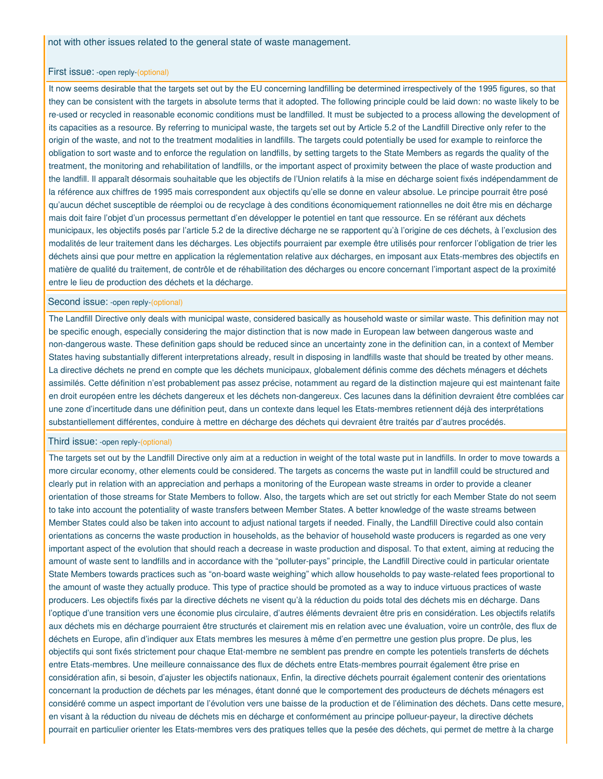#### First issue: -open reply-(optional)

It now seems desirable that the targets set out by the EU concerning landfilling be determined irrespectively of the 1995 figures, so that they can be consistent with the targets in absolute terms that it adopted. The following principle could be laid down: no waste likely to be re-used or recycled in reasonable economic conditions must be landfilled. It must be subjected to a process allowing the development of its capacities as a resource. By referring to municipal waste, the targets set out by Article 5.2 of the Landfill Directive only refer to the origin of the waste, and not to the treatment modalities in landfills. The targets could potentially be used for example to reinforce the obligation to sort waste and to enforce the regulation on landfills, by setting targets to the State Members as regards the quality of the treatment, the monitoring and rehabilitation of landfills, or the important aspect of proximity between the place of waste production and the landfill. Il apparaît désormais souhaitable que les objectifs de l'Union relatifs à la mise en décharge soient fixés indépendamment de la référence aux chiffres de 1995 mais correspondent aux objectifs qu'elle se donne en valeur absolue. Le principe pourrait être posé qu'aucun déchet susceptible de réemploi ou de recyclage à des conditions économiquement rationnelles ne doit être mis en décharge mais doit faire l'objet d'un processus permettant d'en développer le potentiel en tant que ressource. En se référant aux déchets municipaux, les objectifs posés par l'article 5.2 de la directive décharge ne se rapportent qu'à l'origine de ces déchets, à l'exclusion des modalités de leur traitement dans les décharges. Les objectifs pourraient par exemple être utilisés pour renforcer l'obligation de trier les déchets ainsi que pour mettre en application la réglementation relative aux décharges, en imposant aux Etats-membres des objectifs en matière de qualité du traitement, de contrôle et de réhabilitation des décharges ou encore concernant l'important aspect de la proximité entre le lieu de production des déchets et la décharge.

### Second issue: -open reply-(optional)

The Landfill Directive only deals with municipal waste, considered basically as household waste or similar waste. This definition may not be specific enough, especially considering the major distinction that is now made in European law between dangerous waste and non-dangerous waste. These definition gaps should be reduced since an uncertainty zone in the definition can, in a context of Member States having substantially different interpretations already, result in disposing in landfills waste that should be treated by other means. La directive déchets ne prend en compte que les déchets municipaux, globalement définis comme des déchets ménagers et déchets assimilés. Cette définition n'est probablement pas assez précise, notamment au regard de la distinction majeure qui est maintenant faite en droit européen entre les déchets dangereux et les déchets non-dangereux. Ces lacunes dans la définition devraient être comblées car une zone d'incertitude dans une définition peut, dans un contexte dans lequel les Etats-membres retiennent déjà des interprétations substantiellement différentes, conduire à mettre en décharge des déchets qui devraient être traités par d'autres procédés.

#### Third issue: -open reply-(optional)

The targets set out by the Landfill Directive only aim at a reduction in weight of the total waste put in landfills. In order to move towards a more circular economy, other elements could be considered. The targets as concerns the waste put in landfill could be structured and clearly put in relation with an appreciation and perhaps a monitoring of the European waste streams in order to provide a cleaner orientation of those streams for State Members to follow. Also, the targets which are set out strictly for each Member State do not seem to take into account the potentiality of waste transfers between Member States. A better knowledge of the waste streams between Member States could also be taken into account to adjust national targets if needed. Finally, the Landfill Directive could also contain orientations as concerns the waste production in households, as the behavior of household waste producers is regarded as one very important aspect of the evolution that should reach a decrease in waste production and disposal. To that extent, aiming at reducing the amount of waste sent to landfills and in accordance with the "polluter-pays" principle, the Landfill Directive could in particular orientate State Members towards practices such as "on-board waste weighing" which allow households to pay waste-related fees proportional to the amount of waste they actually produce. This type of practice should be promoted as a way to induce virtuous practices of waste producers. Les objectifs fixés par la directive déchets ne visent qu'à la réduction du poids total des déchets mis en décharge. Dans l'optique d'une transition vers une économie plus circulaire, d'autres éléments devraient être pris en considération. Les objectifs relatifs aux déchets mis en décharge pourraient être structurés et clairement mis en relation avec une évaluation, voire un contrôle, des flux de déchets en Europe, afin d'indiquer aux Etats membres les mesures à même d'en permettre une gestion plus propre. De plus, les objectifs qui sont fixés strictement pour chaque Etat-membre ne semblent pas prendre en compte les potentiels transferts de déchets entre Etats-membres. Une meilleure connaissance des flux de déchets entre Etats-membres pourrait également être prise en considération afin, si besoin, d'ajuster les objectifs nationaux, Enfin, la directive déchets pourrait également contenir des orientations concernant la production de déchets par les ménages, étant donné que le comportement des producteurs de déchets ménagers est considéré comme un aspect important de l'évolution vers une baisse de la production et de l'élimination des déchets. Dans cette mesure, en visant à la réduction du niveau de déchets mis en décharge et conformément au principe pollueur-payeur, la directive déchets pourrait en particulier orienter les Etats-membres vers des pratiques telles que la pesée des déchets, qui permet de mettre à la charge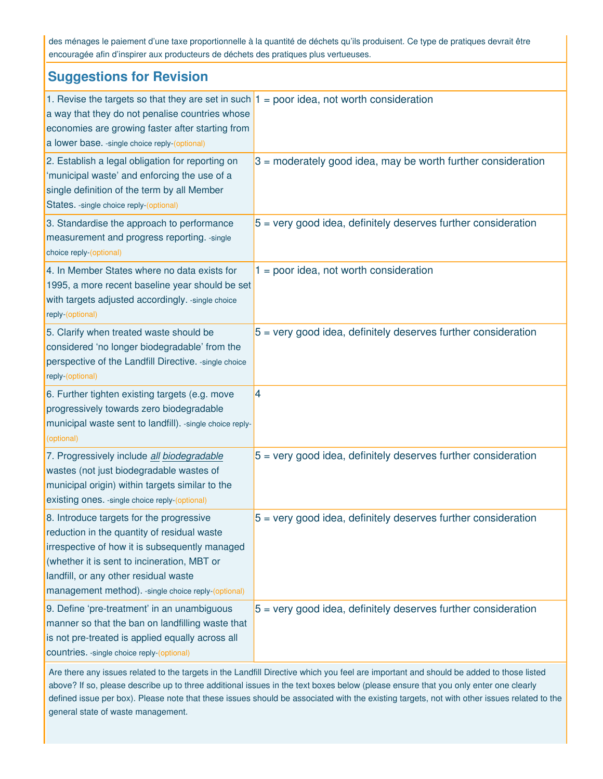des ménages le paiement d'une taxe proportionnelle à la quantité de déchets qu'ils produisent. Ce type de pratiques devrait être encouragée afin d'inspirer aux producteurs de déchets des pratiques plus vertueuses.

| <b>Suggestions for Revision</b>                                                                                                                                                                                                                                                          |                                                                 |
|------------------------------------------------------------------------------------------------------------------------------------------------------------------------------------------------------------------------------------------------------------------------------------------|-----------------------------------------------------------------|
| 1. Revise the targets so that they are set in such $1 =$ poor idea, not worth consideration<br>a way that they do not penalise countries whose<br>economies are growing faster after starting from<br>a lower base. - single choice reply-(optional)                                     |                                                                 |
| 2. Establish a legal obligation for reporting on<br>'municipal waste' and enforcing the use of a<br>single definition of the term by all Member<br>States. - single choice reply-(optional)                                                                                              | $3$ = moderately good idea, may be worth further consideration  |
| 3. Standardise the approach to performance<br>measurement and progress reporting. - single<br>choice reply-(optional)                                                                                                                                                                    | $5$ = very good idea, definitely deserves further consideration |
| 4. In Member States where no data exists for<br>1995, a more recent baseline year should be set<br>with targets adjusted accordingly. - single choice<br>reply-(optional)                                                                                                                | $1 = poor idea$ , not worth consideration                       |
| 5. Clarify when treated waste should be<br>considered 'no longer biodegradable' from the<br>perspective of the Landfill Directive. - single choice<br>reply-(optional)                                                                                                                   | $5$ = very good idea, definitely deserves further consideration |
| 6. Further tighten existing targets (e.g. move<br>progressively towards zero biodegradable<br>municipal waste sent to landfill). -single choice reply-<br>(optional)                                                                                                                     | 4                                                               |
| 7. Progressively include all biodegradable<br>wastes (not just biodegradable wastes of<br>municipal origin) within targets similar to the<br>existing ones. - single choice reply-(optional)                                                                                             | $5$ = very good idea, definitely deserves further consideration |
| 8. Introduce targets for the progressive<br>reduction in the quantity of residual waste<br>irrespective of how it is subsequently managed<br>(whether it is sent to incineration, MBT or<br>landfill, or any other residual waste<br>management method). -single choice reply-(optional) | $5$ = very good idea, definitely deserves further consideration |
| 9. Define 'pre-treatment' in an unambiguous<br>manner so that the ban on landfilling waste that<br>is not pre-treated is applied equally across all<br>countries. - single choice reply-(optional)                                                                                       | $5$ = very good idea, definitely deserves further consideration |

Are there any issues related to the targets in the Landfill Directive which you feel are important and should be added to those listed above? If so, please describe up to three additional issues in the text boxes below (please ensure that you only enter one clearly defined issue per box). Please note that these issues should be associated with the existing targets, not with other issues related to the general state of waste management.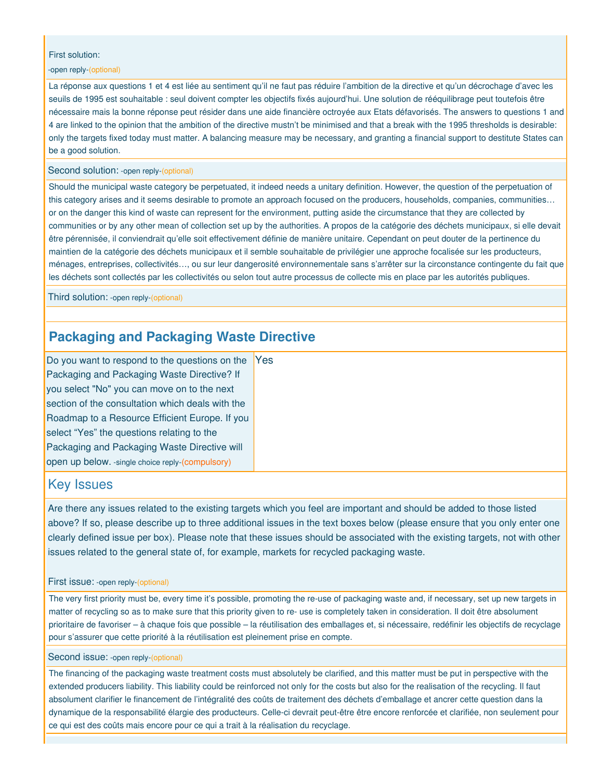### First solution:

### -open reply-(optional)

La réponse aux questions 1 et 4 est liée au sentiment qu'il ne faut pas réduire l'ambition de la directive et qu'un décrochage d'avec les seuils de 1995 est souhaitable : seul doivent compter les objectifs fixés aujourd'hui. Une solution de rééquilibrage peut toutefois être nécessaire mais la bonne réponse peut résider dans une aide financière octroyée aux Etats défavorisés. The answers to questions 1 and 4 are linked to the opinion that the ambition of the directive mustn't be minimised and that a break with the 1995 thresholds is desirable: only the targets fixed today must matter. A balancing measure may be necessary, and granting a financial support to destitute States can be a good solution.

### Second solution: -open reply-(optional)

Should the municipal waste category be perpetuated, it indeed needs a unitary definition. However, the question of the perpetuation of this category arises and it seems desirable to promote an approach focused on the producers, households, companies, communities… or on the danger this kind of waste can represent for the environment, putting aside the circumstance that they are collected by communities or by any other mean of collection set up by the authorities. A propos de la catégorie des déchets municipaux, si elle devait être pérennisée, il conviendrait qu'elle soit effectivement définie de manière unitaire. Cependant on peut douter de la pertinence du maintien de la catégorie des déchets municipaux et il semble souhaitable de privilégier une approche focalisée sur les producteurs, ménages, entreprises, collectivités…, ou sur leur dangerosité environnementale sans s'arrêter sur la circonstance contingente du fait que les déchets sont collectés par les collectivités ou selon tout autre processus de collecte mis en place par les autorités publiques.

Third solution: -open reply-(optional)

# **Packaging and Packaging Waste Directive**

Do you want to respond to the questions on the Packaging and Packaging Waste Directive? If you select "No" you can move on to the next section of the consultation which deals with the Roadmap to a Resource Efficient Europe. If you select "Yes" the questions relating to the Packaging and Packaging Waste Directive will open up below. -single choice reply-(compulsory) **Yes** 

### Key Issues

Are there any issues related to the existing targets which you feel are important and should be added to those listed above? If so, please describe up to three additional issues in the text boxes below (please ensure that you only enter one clearly defined issue per box). Please note that these issues should be associated with the existing targets, not with other issues related to the general state of, for example, markets for recycled packaging waste.

#### First issue: -open reply-(optional)

The very first priority must be, every time it's possible, promoting the re-use of packaging waste and, if necessary, set up new targets in matter of recycling so as to make sure that this priority given to re- use is completely taken in consideration. Il doit être absolument prioritaire de favoriser – à chaque fois que possible – la réutilisation des emballages et, si nécessaire, redéfinir les objectifs de recyclage pour s'assurer que cette priorité à la réutilisation est pleinement prise en compte.

### Second issue: -open reply-(optional)

The financing of the packaging waste treatment costs must absolutely be clarified, and this matter must be put in perspective with the extended producers liability. This liability could be reinforced not only for the costs but also for the realisation of the recycling. Il faut absolument clarifier le financement de l'intégralité des coûts de traitement des déchets d'emballage et ancrer cette question dans la dynamique de la responsabilité élargie des producteurs. Celle-ci devrait peut-être être encore renforcée et clarifiée, non seulement pour ce qui est des coûts mais encore pour ce qui a trait à la réalisation du recyclage.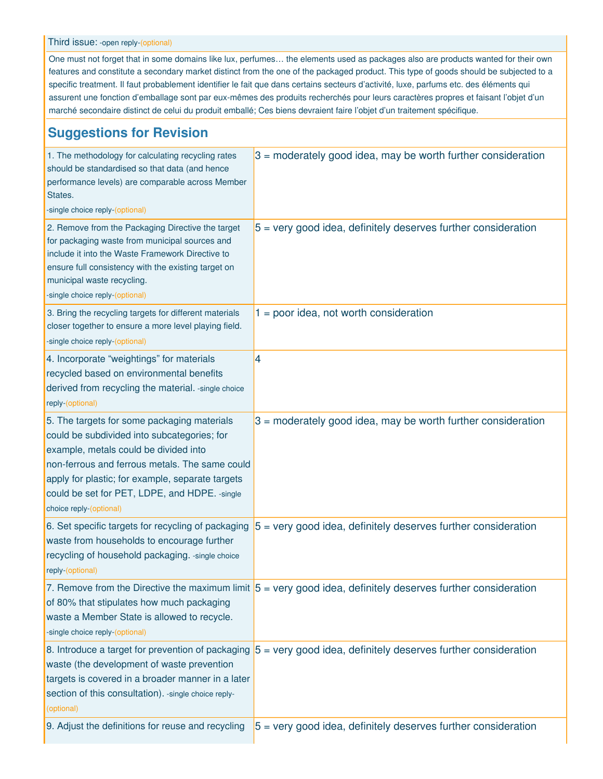Third issue: -open reply-(optional)

One must not forget that in some domains like lux, perfumes… the elements used as packages also are products wanted for their own features and constitute a secondary market distinct from the one of the packaged product. This type of goods should be subjected to a specific treatment. Il faut probablement identifier le fait que dans certains secteurs d'activité, luxe, parfums etc. des éléments qui assurent une fonction d'emballage sont par eux-mêmes des produits recherchés pour leurs caractères propres et faisant l'objet d'un marché secondaire distinct de celui du produit emballé; Ces biens devraient faire l'objet d'un traitement spécifique.

# **Suggestions for Revision**

| 1. The methodology for calculating recycling rates<br>should be standardised so that data (and hence<br>performance levels) are comparable across Member<br>States.<br>-single choice reply-(optional)                                                                                                                 | $3$ = moderately good idea, may be worth further consideration                                                         |
|------------------------------------------------------------------------------------------------------------------------------------------------------------------------------------------------------------------------------------------------------------------------------------------------------------------------|------------------------------------------------------------------------------------------------------------------------|
| 2. Remove from the Packaging Directive the target<br>for packaging waste from municipal sources and<br>include it into the Waste Framework Directive to<br>ensure full consistency with the existing target on<br>municipal waste recycling.<br>-single choice reply-(optional)                                        | $5$ = very good idea, definitely deserves further consideration                                                        |
| 3. Bring the recycling targets for different materials<br>closer together to ensure a more level playing field.<br>-single choice reply-(optional)                                                                                                                                                                     | $1 =$ poor idea, not worth consideration                                                                               |
| 4. Incorporate "weightings" for materials<br>recycled based on environmental benefits<br>derived from recycling the material. - single choice<br>reply-(optional)                                                                                                                                                      | 4                                                                                                                      |
| 5. The targets for some packaging materials<br>could be subdivided into subcategories; for<br>example, metals could be divided into<br>non-ferrous and ferrous metals. The same could<br>apply for plastic; for example, separate targets<br>could be set for PET, LDPE, and HDPE. - single<br>choice reply-(optional) | $3$ = moderately good idea, may be worth further consideration                                                         |
| 6. Set specific targets for recycling of packaging<br>waste from households to encourage further<br>recycling of household packaging. - single choice<br>reply-(optional)                                                                                                                                              | $5$ = very good idea, definitely deserves further consideration                                                        |
| of 80% that stipulates how much packaging<br>waste a Member State is allowed to recycle.<br>-single choice reply-(optional)                                                                                                                                                                                            | 7. Remove from the Directive the maximum limit $5 = \text{very good idea}$ , definitely deserves further consideration |
| 8. Introduce a target for prevention of packaging<br>waste (the development of waste prevention<br>targets is covered in a broader manner in a later<br>section of this consultation). - single choice reply-<br>(optional)                                                                                            | $5$ = very good idea, definitely deserves further consideration                                                        |
| 9. Adjust the definitions for reuse and recycling                                                                                                                                                                                                                                                                      | $5$ = very good idea, definitely deserves further consideration                                                        |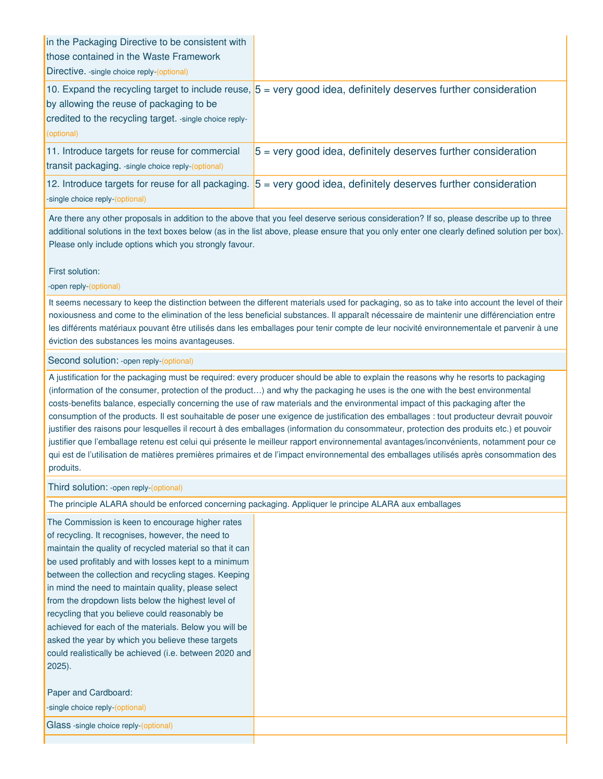| in the Packaging Directive to be consistent with<br>those contained in the Waste Framework<br>Directive. - single choice reply-(optional) |                                                                                                                           |
|-------------------------------------------------------------------------------------------------------------------------------------------|---------------------------------------------------------------------------------------------------------------------------|
| by allowing the reuse of packaging to be<br>credited to the recycling target. - single choice reply-<br>(optional)                        | 10. Expand the recycling target to include reuse, $5 = \text{very good idea}$ , definitely deserves further consideration |
| 11. Introduce targets for reuse for commercial<br>transit packaging. - single choice reply-(optional)                                     | $5$ = very good idea, definitely deserves further consideration                                                           |
| 12. Introduce targets for reuse for all packaging.<br>-single choice reply-(optional)                                                     | $5$ = very good idea, definitely deserves further consideration                                                           |

First solution:

-open reply-(optional)

It seems necessary to keep the distinction between the different materials used for packaging, so as to take into account the level of their noxiousness and come to the elimination of the less beneficial substances. Il apparaît nécessaire de maintenir une différenciation entre les différents matériaux pouvant être utilisés dans les emballages pour tenir compte de leur nocivité environnementale et parvenir à une éviction des substances les moins avantageuses.

### Second solution: -open reply-(optional)

A justification for the packaging must be required: every producer should be able to explain the reasons why he resorts to packaging (information of the consumer, protection of the product…) and why the packaging he uses is the one with the best environmental costs-benefits balance, especially concerning the use of raw materials and the environmental impact of this packaging after the consumption of the products. Il est souhaitable de poser une exigence de justification des emballages : tout producteur devrait pouvoir justifier des raisons pour lesquelles il recourt à des emballages (information du consommateur, protection des produits etc.) et pouvoir justifier que l'emballage retenu est celui qui présente le meilleur rapport environnemental avantages/inconvénients, notamment pour ce qui est de l'utilisation de matières premières primaires et de l'impact environnemental des emballages utilisés après consommation des produits.

### Third solution: -open reply-(optional)

The principle ALARA should be enforced concerning packaging. Appliquer le principe ALARA aux emballages

The Commission is keen to encourage higher rates of recycling. It recognises, however, the need to maintain the quality of recycled material so that it can be used profitably and with losses kept to a minimum between the collection and recycling stages. Keeping in mind the need to maintain quality, please select from the dropdown lists below the highest level of recycling that you believe could reasonably be achieved for each of the materials. Below you will be asked the year by which you believe these targets could realistically be achieved (i.e. between 2020 and 2025).

Paper and Cardboard: -single choice reply-(optional) Glass -single choice reply-(optional)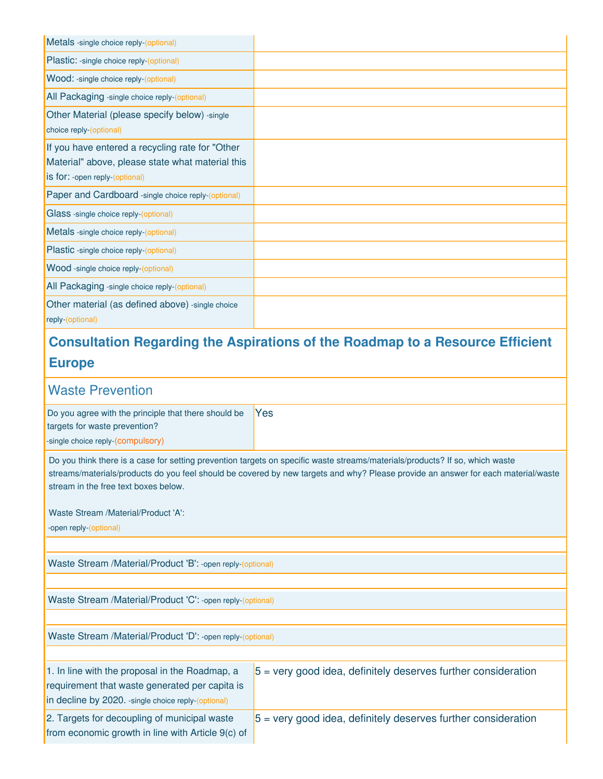| Metals -single choice reply-(optional)                                                                                                |                                                                                      |
|---------------------------------------------------------------------------------------------------------------------------------------|--------------------------------------------------------------------------------------|
| Plastic: -single choice reply-(optional)                                                                                              |                                                                                      |
| Wood: -single choice reply-(optional)                                                                                                 |                                                                                      |
| All Packaging -single choice reply-(optional)                                                                                         |                                                                                      |
| Other Material (please specify below) -single<br>choice reply-(optional)                                                              |                                                                                      |
| If you have entered a recycling rate for "Other<br>Material" above, please state what material this<br>is for: -open reply-(optional) |                                                                                      |
| Paper and Cardboard -single choice reply-(optional)                                                                                   |                                                                                      |
| Glass -single choice reply-(optional)                                                                                                 |                                                                                      |
| Metals -single choice reply-(optional)                                                                                                |                                                                                      |
| Plastic -single choice reply-(optional)                                                                                               |                                                                                      |
| Wood -single choice reply-(optional)                                                                                                  |                                                                                      |
| All Packaging -single choice reply-(optional)                                                                                         |                                                                                      |
| Other material (as defined above) - single choice<br>reply-(optional)                                                                 |                                                                                      |
|                                                                                                                                       | <b>Consultation Regarding the Aspirations of the Roadmap to a Resource Efficient</b> |
| <b>Europe</b>                                                                                                                         |                                                                                      |
| <b>Waste Prevention</b>                                                                                                               |                                                                                      |
| Do you agree with the principle that there should be<br>targets for waste prevention?                                                 | Yes                                                                                  |

-single choice reply-(compulsory)

Do you think there is a case for setting prevention targets on specific waste streams/materials/products? If so, which waste streams/materials/products do you feel should be covered by new targets and why? Please provide an answer for each material/waste stream in the free text boxes below.

Waste Stream /Material/Product 'A':

-open reply-(optional)

Waste Stream /Material/Product 'B': -open reply-(optional)

Waste Stream /Material/Product 'C': -open reply-(optional)

Waste Stream /Material/Product 'D': -open reply-(optional)

| 1. In line with the proposal in the Roadmap, a       | $5$ = very good idea, definitely deserves further consideration |
|------------------------------------------------------|-----------------------------------------------------------------|
| requirement that waste generated per capita is       |                                                                 |
| in decline by 2020. - single choice reply-(optional) |                                                                 |
| 2. Targets for decoupling of municipal waste         | $5$ = very good idea, definitely deserves further consideration |
| from economic growth in line with Article 9(c) of    |                                                                 |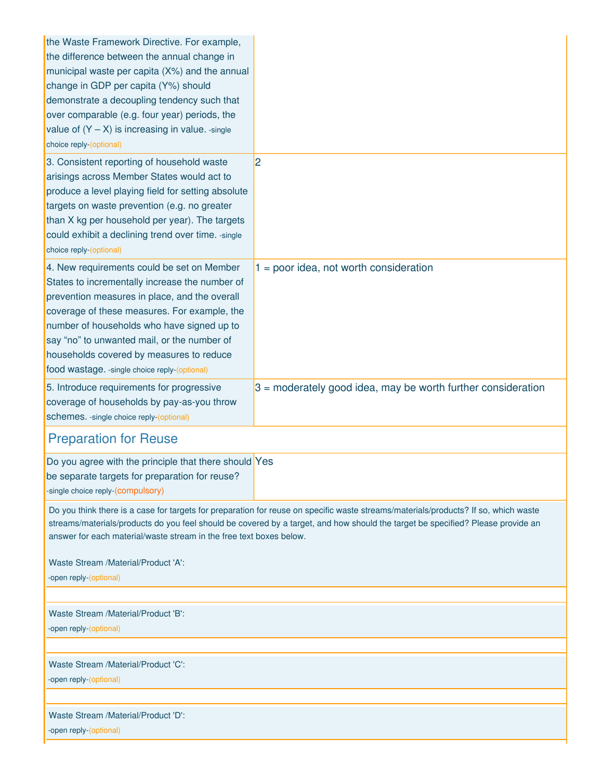| the Waste Framework Directive. For example,<br>the difference between the annual change in<br>municipal waste per capita (X%) and the annual<br>change in GDP per capita (Y%) should<br>demonstrate a decoupling tendency such that<br>over comparable (e.g. four year) periods, the<br>value of $(Y - X)$ is increasing in value. -single<br>choice reply-(optional)                    |                                                                                                                                                                                                                                                                        |
|------------------------------------------------------------------------------------------------------------------------------------------------------------------------------------------------------------------------------------------------------------------------------------------------------------------------------------------------------------------------------------------|------------------------------------------------------------------------------------------------------------------------------------------------------------------------------------------------------------------------------------------------------------------------|
| 3. Consistent reporting of household waste<br>arisings across Member States would act to<br>produce a level playing field for setting absolute<br>targets on waste prevention (e.g. no greater<br>than X kg per household per year). The targets<br>could exhibit a declining trend over time. - single<br>choice reply-(optional)                                                       | $\overline{2}$                                                                                                                                                                                                                                                         |
| 4. New requirements could be set on Member<br>States to incrementally increase the number of<br>prevention measures in place, and the overall<br>coverage of these measures. For example, the<br>number of households who have signed up to<br>say "no" to unwanted mail, or the number of<br>households covered by measures to reduce<br>food wastage. - single choice reply-(optional) | $1 = poor idea$ , not worth consideration                                                                                                                                                                                                                              |
| 5. Introduce requirements for progressive<br>coverage of households by pay-as-you throw<br>schemes. - single choice reply-(optional)                                                                                                                                                                                                                                                     | $3$ = moderately good idea, may be worth further consideration                                                                                                                                                                                                         |
| <b>Preparation for Reuse</b>                                                                                                                                                                                                                                                                                                                                                             |                                                                                                                                                                                                                                                                        |
| Do you agree with the principle that there should Yes<br>be separate targets for preparation for reuse?<br>-single choice reply-(compulsory)                                                                                                                                                                                                                                             |                                                                                                                                                                                                                                                                        |
| answer for each material/waste stream in the free text boxes below.<br>Waste Stream /Material/Product 'A':<br>-open reply-(optional)                                                                                                                                                                                                                                                     | Do you think there is a case for targets for preparation for reuse on specific waste streams/materials/products? If so, which waste<br>streams/materials/products do you feel should be covered by a target, and how should the target be specified? Please provide an |
|                                                                                                                                                                                                                                                                                                                                                                                          |                                                                                                                                                                                                                                                                        |
| Waste Stream /Material/Product 'B':<br>-open reply-(optional)                                                                                                                                                                                                                                                                                                                            |                                                                                                                                                                                                                                                                        |
| Waste Stream /Material/Product 'C':<br>-open reply-(optional)                                                                                                                                                                                                                                                                                                                            |                                                                                                                                                                                                                                                                        |
|                                                                                                                                                                                                                                                                                                                                                                                          |                                                                                                                                                                                                                                                                        |
| Waste Stream /Material/Product 'D':<br>-open reply-(optional)                                                                                                                                                                                                                                                                                                                            |                                                                                                                                                                                                                                                                        |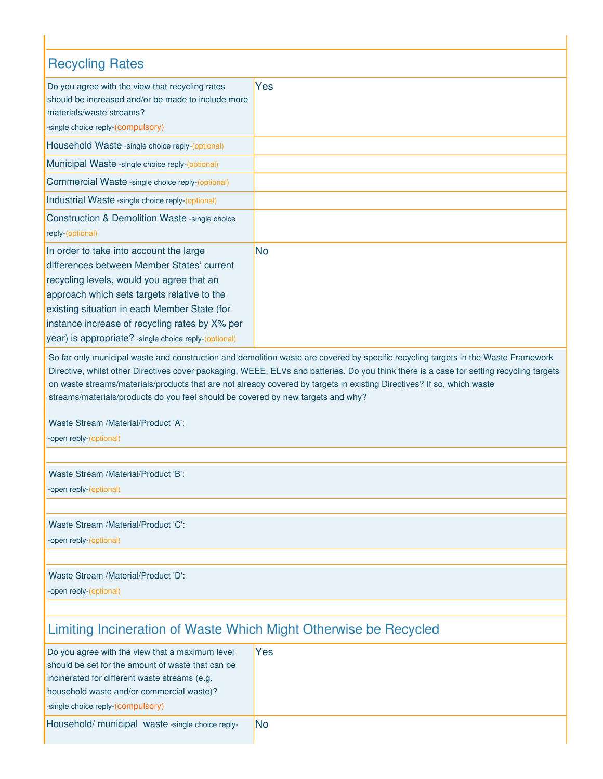| <b>Recycling Rates</b>                                                                                                                                                                                                                                                                                                                       |                                                                                                                                                                                                                                                                                                                                                                                                          |
|----------------------------------------------------------------------------------------------------------------------------------------------------------------------------------------------------------------------------------------------------------------------------------------------------------------------------------------------|----------------------------------------------------------------------------------------------------------------------------------------------------------------------------------------------------------------------------------------------------------------------------------------------------------------------------------------------------------------------------------------------------------|
| Do you agree with the view that recycling rates<br>should be increased and/or be made to include more<br>materials/waste streams?<br>-single choice reply-(compulsory)                                                                                                                                                                       | Yes                                                                                                                                                                                                                                                                                                                                                                                                      |
| Household Waste -single choice reply-(optional)                                                                                                                                                                                                                                                                                              |                                                                                                                                                                                                                                                                                                                                                                                                          |
| Municipal Waste -single choice reply-(optional)                                                                                                                                                                                                                                                                                              |                                                                                                                                                                                                                                                                                                                                                                                                          |
| Commercial Waste -single choice reply-(optional)                                                                                                                                                                                                                                                                                             |                                                                                                                                                                                                                                                                                                                                                                                                          |
| Industrial Waste - single choice reply-(optional)                                                                                                                                                                                                                                                                                            |                                                                                                                                                                                                                                                                                                                                                                                                          |
| Construction & Demolition Waste -single choice<br>reply-(optional)                                                                                                                                                                                                                                                                           |                                                                                                                                                                                                                                                                                                                                                                                                          |
| In order to take into account the large<br>differences between Member States' current<br>recycling levels, would you agree that an<br>approach which sets targets relative to the<br>existing situation in each Member State (for<br>instance increase of recycling rates by X% per<br>year) is appropriate? -single choice reply-(optional) | No                                                                                                                                                                                                                                                                                                                                                                                                       |
| streams/materials/products do you feel should be covered by new targets and why?<br>Waste Stream /Material/Product 'A':<br>-open reply-(optional)                                                                                                                                                                                            | So far only municipal waste and construction and demolition waste are covered by specific recycling targets in the Waste Framework<br>Directive, whilst other Directives cover packaging, WEEE, ELVs and batteries. Do you think there is a case for setting recycling targets<br>on waste streams/materials/products that are not already covered by targets in existing Directives? If so, which waste |
|                                                                                                                                                                                                                                                                                                                                              |                                                                                                                                                                                                                                                                                                                                                                                                          |
| Waste Stream /Material/Product 'B':<br>-open reply-(optional)                                                                                                                                                                                                                                                                                |                                                                                                                                                                                                                                                                                                                                                                                                          |
| Waste Stream /Material/Product 'C':<br>-open reply-(optional)                                                                                                                                                                                                                                                                                |                                                                                                                                                                                                                                                                                                                                                                                                          |
| Waste Stream /Material/Product 'D':<br>-open reply-(optional)                                                                                                                                                                                                                                                                                |                                                                                                                                                                                                                                                                                                                                                                                                          |
| Limiting Incineration of Waste Which Might Otherwise be Recycled                                                                                                                                                                                                                                                                             |                                                                                                                                                                                                                                                                                                                                                                                                          |
| Do you agree with the view that a maximum level<br>should be set for the amount of waste that can be<br>incinerated for different waste streams (e.g.<br>household waste and/or commercial waste)?<br>-single choice reply-(compulsory)                                                                                                      | Yes                                                                                                                                                                                                                                                                                                                                                                                                      |

|  |  | Household/ municipal waste -single choice reply- | No |
|--|--|--------------------------------------------------|----|
|--|--|--------------------------------------------------|----|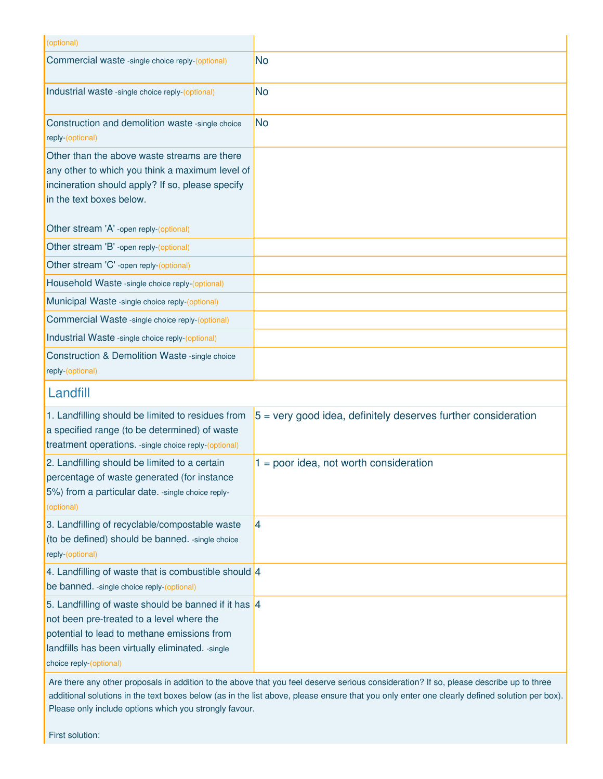| (optional)                                                                                                                                                                                                                       |                                                                 |
|----------------------------------------------------------------------------------------------------------------------------------------------------------------------------------------------------------------------------------|-----------------------------------------------------------------|
| Commercial waste -single choice reply-(optional)                                                                                                                                                                                 | No                                                              |
| Industrial waste -single choice reply-(optional)                                                                                                                                                                                 | No                                                              |
| Construction and demolition waste -single choice<br>reply-(optional)                                                                                                                                                             | No                                                              |
| Other than the above waste streams are there<br>any other to which you think a maximum level of<br>incineration should apply? If so, please specify<br>in the text boxes below.                                                  |                                                                 |
| Other stream 'A' -open reply-(optional)                                                                                                                                                                                          |                                                                 |
| Other stream 'B' -open reply-(optional)                                                                                                                                                                                          |                                                                 |
| Other stream 'C' -open reply-(optional)                                                                                                                                                                                          |                                                                 |
| Household Waste -single choice reply-(optional)                                                                                                                                                                                  |                                                                 |
| Municipal Waste -single choice reply-(optional)                                                                                                                                                                                  |                                                                 |
| Commercial Waste -single choice reply-(optional)                                                                                                                                                                                 |                                                                 |
| Industrial Waste - single choice reply-(optional)                                                                                                                                                                                |                                                                 |
| Construction & Demolition Waste -single choice<br>reply-(optional)                                                                                                                                                               |                                                                 |
| Landfill                                                                                                                                                                                                                         |                                                                 |
| 1. Landfilling should be limited to residues from<br>a specified range (to be determined) of waste<br>treatment operations. - single choice reply-(optional)                                                                     | $5$ = very good idea, definitely deserves further consideration |
| 2. Landfilling should be limited to a certain<br>percentage of waste generated (for instance<br>5%) from a particular date. - single choice reply-<br>(optional)                                                                 | $1 = poor idea$ , not worth consideration                       |
| 3. Landfilling of recyclable/compostable waste<br>(to be defined) should be banned. - single choice<br>reply-(optional)                                                                                                          | 4                                                               |
| 4. Landfilling of waste that is combustible should 4<br>be banned. - single choice reply-(optional)                                                                                                                              |                                                                 |
| 5. Landfilling of waste should be banned if it has 4<br>not been pre-treated to a level where the<br>potential to lead to methane emissions from<br>landfills has been virtually eliminated. - single<br>choice reply-(optional) |                                                                 |

First solution: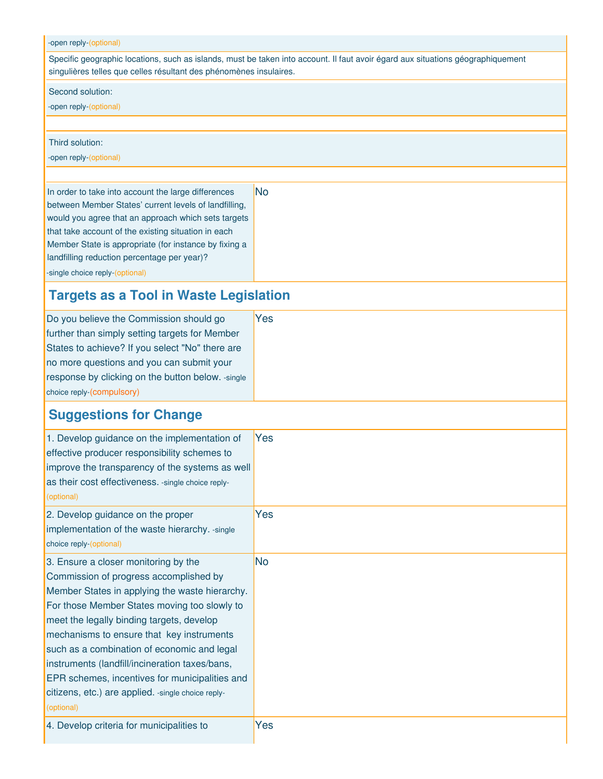### -open reply-(optional)

Specific geographic locations, such as islands, must be taken into account. Il faut avoir égard aux situations géographiquement singulières telles que celles résultant des phénomènes insulaires.

### Second solution:

-open reply-(optional)

### Third solution:

-open reply-(optional)

In order to take into account the large differences between Member States' current levels of landfilling, would you agree that an approach which sets targets that take account of the existing situation in each Member State is appropriate (for instance by fixing a landfilling reduction percentage per year)? -single choice reply-(optional) No

# **Targets as a Tool in Waste Legislation**

| Do you believe the Commission should go            | Yes |
|----------------------------------------------------|-----|
| further than simply setting targets for Member     |     |
| States to achieve? If you select "No" there are    |     |
| no more questions and you can submit your          |     |
| response by clicking on the button below. - single |     |
| choice reply-(compulsory)                          |     |
|                                                    |     |

# **Suggestions for Change**

| 1. Develop guidance on the implementation of<br>effective producer responsibility schemes to<br>improve the transparency of the systems as well<br>as their cost effectiveness. - single choice reply-<br>(optional)                                                                                                                                                                                                                                                                              | Yes |
|---------------------------------------------------------------------------------------------------------------------------------------------------------------------------------------------------------------------------------------------------------------------------------------------------------------------------------------------------------------------------------------------------------------------------------------------------------------------------------------------------|-----|
| 2. Develop guidance on the proper<br>implementation of the waste hierarchy. -single<br>choice reply-(optional)                                                                                                                                                                                                                                                                                                                                                                                    | Yes |
| 3. Ensure a closer monitoring by the<br>Commission of progress accomplished by<br>Member States in applying the waste hierarchy.<br>For those Member States moving too slowly to<br>meet the legally binding targets, develop<br>mechanisms to ensure that key instruments<br>such as a combination of economic and legal<br>instruments (landfill/incineration taxes/bans,<br>EPR schemes, incentives for municipalities and<br>citizens, etc.) are applied. -single choice reply-<br>(optional) | No  |
| 4. Develop criteria for municipalities to                                                                                                                                                                                                                                                                                                                                                                                                                                                         | Yes |